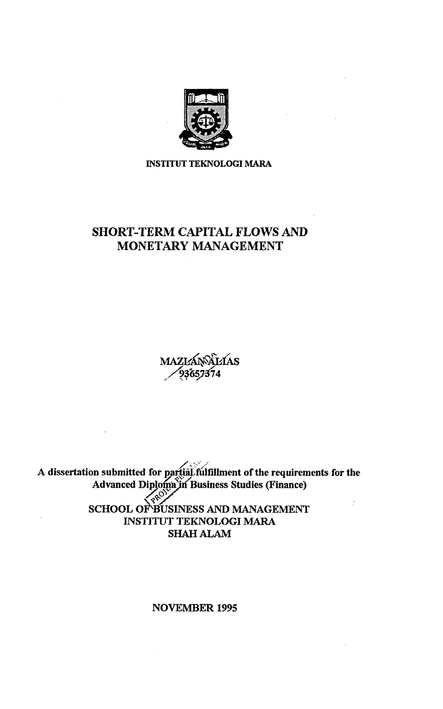

**INSTITUT TEKNOLOGI MARA** 

### SHORT-TERM CAPITAL FLOWS AND MONETARY MANAGEMENT

MAZIZÁNÁLTAS

A dissertation submitted for partial, fulfillment of the requirements for the Advanced Diploma in Business Studies (Finance) SCHOOL OF BUSINESS AND MANAGEMENT ÷, INSTITUT TEKNOLOGI MARA

SHAH ALAM

NOVEMBER 1995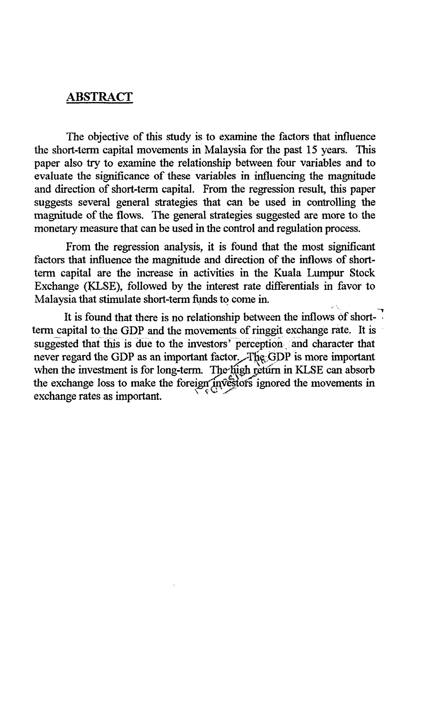#### ABSTRACT

The objective of this study is to examine the factors that influence the short-term capital movements in Malaysia for the past 15 years. This paper also try to examine the relationship between four variables and to evaluate the significance of these variables in influencing the magnitude and direction of short-term capital. From the regression result, this paper suggests several general strategies that can be used in controlling the magnitude of the flows. The general strategies suggested are more to the monetary measure that can be used in the control and regulation process.

From the regression analysis, it is found that the most significant factors that influence the magnitude and direction of the inflows of shortterm capital are the increase in activities in the Kuala Lumpur Stock Exchange (KLSE), followed by the interest rate differentials in favor to Malaysia that stimulate short-term funds to come in.

It is found that there is no relationship between the inflows of shorttermcapital to the GDP and the movements of ringgit exchange rate. It is suggested that this is due to the investors' perception and character that never regard the GDP as an important factor. The GDP is more important when the investment is for long-term. The high return in KLSE can absorb the exchange loss to make the foreign investors ignored the movements in exchange rates as important.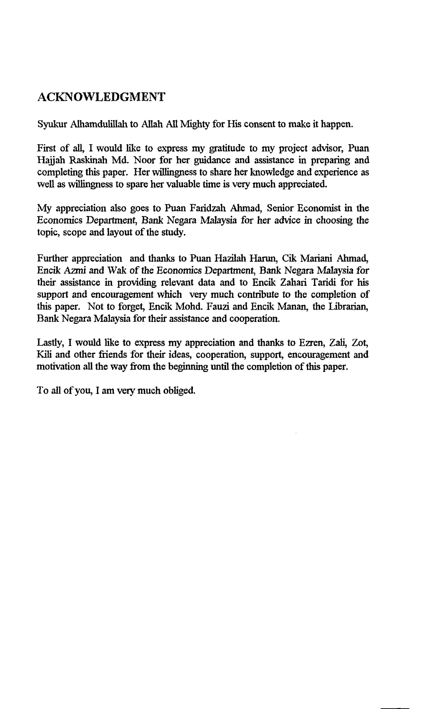### ACKNOWLEDGMENT

Syukur Alhamdulillah to Allah All Mighty for His consent to make it happen.

First of all, I would like to express my gratitude to my project advisor, Puan Hajjah Raskinah Md. Noor for her guidance and assistance in preparing and completing this paper. Her willingness to share her knowledge and experience as well as willingness to spare her valuable time is very much appreciated.

My appreciation also goes to Puan Faridzah Ahmad, Senior Economist in the Economics Department, Bank Negara Malaysia for her advice in choosing the topic, scope and layout of the study.

Further appreciation and thanks to Puan Hazilah Harun, Cik Mariani Ahmad, Encik Azmi and Wak of the Economics Department, Bank Negara Malaysia for their assistance in providing relevant data and to Encik Zahari Taridi for his support and encouragement which very much contribute to the completion of this paper. Not to forget, Encik Mohd. Fauzi and Encik Manan, the Librarian, Bank Negara Malaysia for their assistance and cooperation.

Lastly, I would like to express my appreciation and thanks to Ezren, Zali, Zot, Kili and other friends for their ideas, cooperation, support, encouragement and motivation all the way from the beginning until the completion of this paper.

To all of you, I am very much obliged.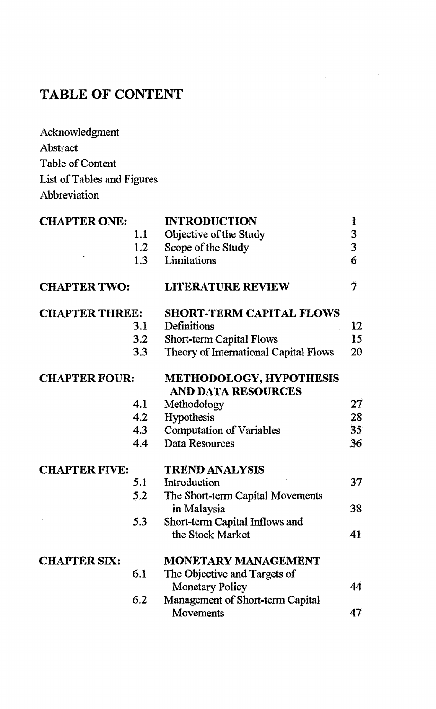# **TABLE OF CONTENT**

| Acknowledgment             |
|----------------------------|
| Abstract                   |
| <b>Table of Content</b>    |
| List of Tables and Figures |
| Abbreviation               |

| <b>CHAPTER ONE:</b>   |     | <b>INTRODUCTION</b>                                         | $\bf{1}$                |
|-----------------------|-----|-------------------------------------------------------------|-------------------------|
|                       | 1.1 | Objective of the Study                                      | 3                       |
|                       | 1.2 | Scope of the Study                                          | $\overline{\mathbf{3}}$ |
|                       | 1.3 | Limitations                                                 | 6                       |
| <b>CHAPTER TWO:</b>   |     | <b>LITERATURE REVIEW</b>                                    | $\tau$                  |
| <b>CHAPTER THREE:</b> |     | <b>SHORT-TERM CAPITAL FLOWS</b>                             |                         |
|                       | 3.1 | Definitions                                                 | 12                      |
|                       | 3.2 | <b>Short-term Capital Flows</b>                             | 15                      |
|                       | 3.3 | Theory of International Capital Flows                       | 20                      |
| <b>CHAPTER FOUR:</b>  |     | <b>METHODOLOGY, HYPOTHESIS</b><br><b>AND DATA RESOURCES</b> |                         |
|                       | 4.1 | Methodology                                                 | 27                      |
|                       | 4.2 | Hypothesis                                                  | 28.                     |
|                       | 4.3 | <b>Computation of Variables</b>                             | 35 <sub>1</sub>         |
|                       | 4.4 | Data Resources                                              | 36                      |
| <b>CHAPTER FIVE:</b>  |     | <b>TREND ANALYSIS</b>                                       |                         |
|                       | 5.1 | Introduction                                                | 37                      |
|                       | 5.2 | The Short-term Capital Movements<br>in Malaysia             | 38                      |
|                       | 5.3 | Short-term Capital Inflows and<br>the Stock Market          | 41                      |
| <b>CHAPTER SIX:</b>   |     | <b>MONETARY MANAGEMENT</b>                                  |                         |
|                       | 6.1 | The Objective and Targets of                                |                         |
|                       |     | <b>Monetary Policy</b>                                      | 44                      |
|                       | 6.2 | Management of Short-term Capital                            |                         |
|                       |     | <b>Movements</b>                                            | 47                      |
|                       |     |                                                             |                         |

 $\label{eq:3.1} \left\langle \begin{array}{ccccc} \mathbf{0} & \mathbf{0} & \mathbf{0} & \mathbf{0} & \mathbf{0} & \mathbf{0} \\ \mathbf{0} & \mathbf{0} & \mathbf{0} & \mathbf{0} & \mathbf{0} & \mathbf{0} \\ \mathbf{0} & \mathbf{0} & \mathbf{0} & \mathbf{0} & \mathbf{0} & \mathbf{0} \end{array} \right\rangle$ 

 $\sim$   $\mu$